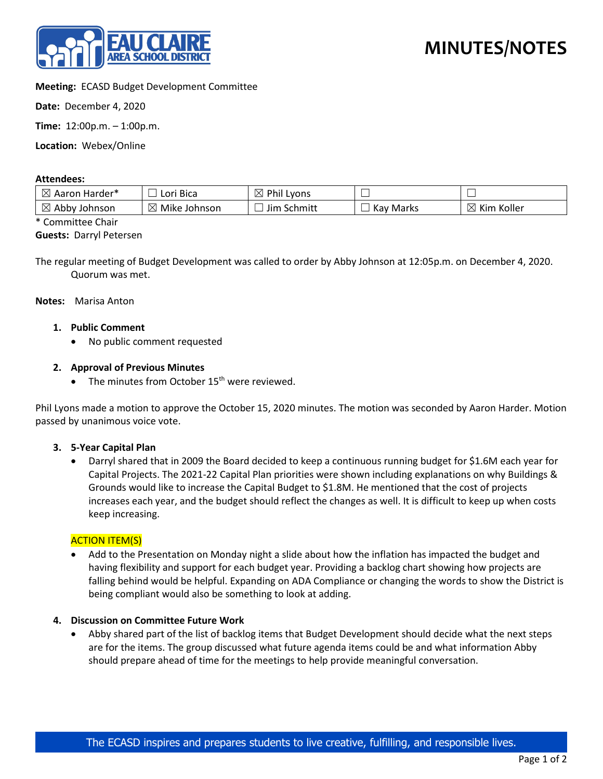

# **Meeting:** ECASD Budget Development Committee

**Date:** December 4, 2020

**Time:** 12:00p.m. – 1:00p.m.

**Location:** Webex/Online

#### **Attendees:**

| ΙXΙ<br>Aaron Harder*         | ' Bica<br>Lori                 | Phil<br>IX<br>Lyons | –<br>─                                             | _                  |
|------------------------------|--------------------------------|---------------------|----------------------------------------------------|--------------------|
| $\bowtie$<br>Abby<br>Johnson | $\boxtimes$<br>Mike<br>Johnson | Schmitt<br>Jim      | $\overline{\phantom{0}}$<br>Kay<br>Marks<br>$\sim$ | ⊠<br>Koller<br>Kim |

\* Committee Chair

## **Guests:** Darryl Petersen

The regular meeting of Budget Development was called to order by Abby Johnson at 12:05p.m. on December 4, 2020. Quorum was met.

**Notes:** Marisa Anton

- **1. Public Comment**
	- No public comment requested

## **2. Approval of Previous Minutes**

• The minutes from October  $15<sup>th</sup>$  were reviewed.

Phil Lyons made a motion to approve the October 15, 2020 minutes. The motion was seconded by Aaron Harder. Motion passed by unanimous voice vote.

#### **3. 5-Year Capital Plan**

• Darryl shared that in 2009 the Board decided to keep a continuous running budget for \$1.6M each year for Capital Projects. The 2021-22 Capital Plan priorities were shown including explanations on why Buildings & Grounds would like to increase the Capital Budget to \$1.8M. He mentioned that the cost of projects increases each year, and the budget should reflect the changes as well. It is difficult to keep up when costs keep increasing.

#### **ACTION ITEM(S)**

• Add to the Presentation on Monday night a slide about how the inflation has impacted the budget and having flexibility and support for each budget year. Providing a backlog chart showing how projects are falling behind would be helpful. Expanding on ADA Compliance or changing the words to show the District is being compliant would also be something to look at adding.

#### **4. Discussion on Committee Future Work**

• Abby shared part of the list of backlog items that Budget Development should decide what the next steps are for the items. The group discussed what future agenda items could be and what information Abby should prepare ahead of time for the meetings to help provide meaningful conversation.